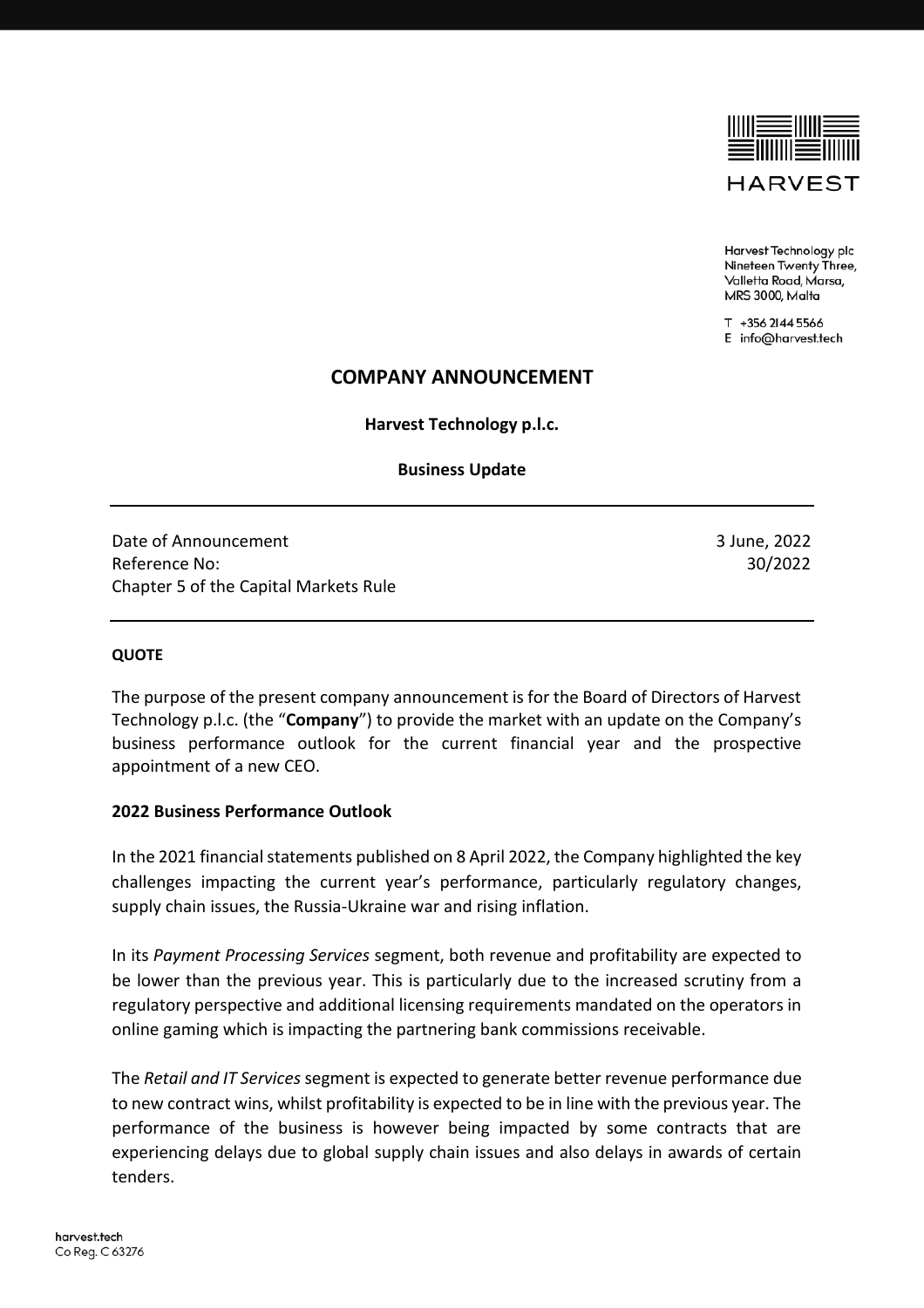

Harvest Technology plc Nineteen Twenty Three, Valletta Road, Marsa, MRS 3000, Malta

T +356 2144 5566 E info@harvest.tech

## **COMPANY ANNOUNCEMENT**

**Harvest Technology p.l.c.**

**Business Update**

Date of Announcement 3 June, 2022 Reference No: 30/2022 Chapter 5 of the Capital Markets Rule

## **QUOTE**

The purpose of the present company announcement is for the Board of Directors of Harvest Technology p.l.c. (the "**Company**") to provide the market with an update on the Company's business performance outlook for the current financial year and the prospective appointment of a new CEO.

## **2022 Business Performance Outlook**

In the 2021 financial statements published on 8 April 2022, the Company highlighted the key challenges impacting the current year's performance, particularly regulatory changes, supply chain issues, the Russia-Ukraine war and rising inflation.

In its *Payment Processing Services* segment, both revenue and profitability are expected to be lower than the previous year. This is particularly due to the increased scrutiny from a regulatory perspective and additional licensing requirements mandated on the operators in online gaming which is impacting the partnering bank commissions receivable.

The *Retail and IT Services* segment is expected to generate better revenue performance due to new contract wins, whilst profitability is expected to be in line with the previous year. The performance of the business is however being impacted by some contracts that are experiencing delays due to global supply chain issues and also delays in awards of certain tenders.